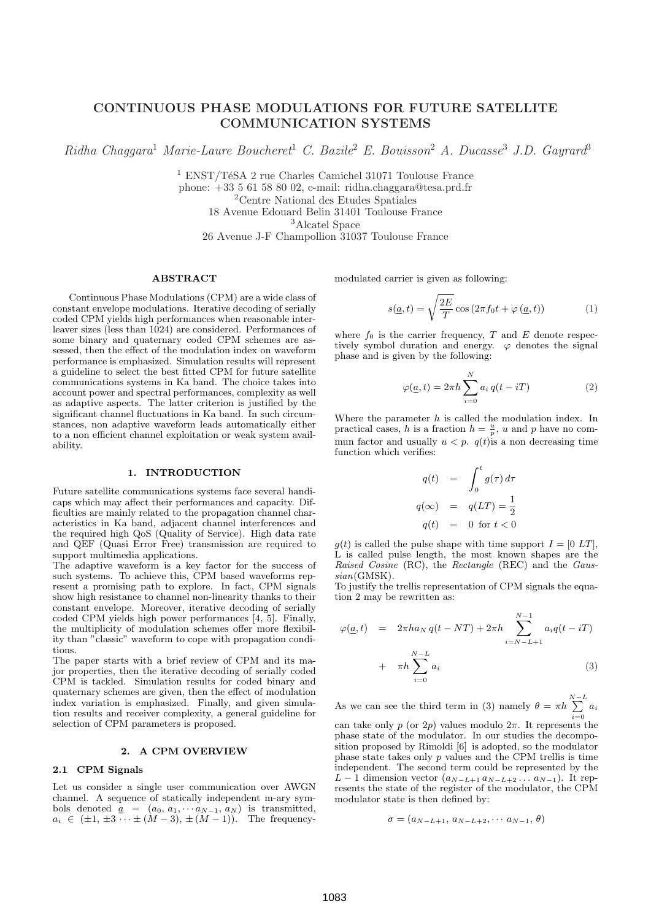# CONTINUOUS PHASE MODULATIONS FOR FUTURE SATELLITE COMMUNICATION SYSTEMS

 $Ridha Chaggara<sup>1</sup> Marie-Laure Boucheret<sup>1</sup> C. Bazile<sup>2</sup> E. Bouisson<sup>2</sup> A. Ducase<sup>3</sup> J.D. Gayrard<sup>3</sup>$ 

 $^1$ ENST/TéSA 2 rue Charles Camichel 31071 Toulouse France phone: +33 5 61 58 80 02, e-mail: ridha.chaggara@tesa.prd.fr

<sup>2</sup>Centre National des Etudes Spatiales

18 Avenue Edouard Belin 31401 Toulouse France

<sup>3</sup>Alcatel Space

26 Avenue J-F Champollion 31037 Toulouse France

#### ABSTRACT

Continuous Phase Modulations (CPM) are a wide class of constant envelope modulations. Iterative decoding of serially coded CPM yields high performances when reasonable interleaver sizes (less than 1024) are considered. Performances of some binary and quaternary coded CPM schemes are assessed, then the effect of the modulation index on waveform performance is emphasized. Simulation results will represent a guideline to select the best fitted CPM for future satellite communications systems in Ka band. The choice takes into account power and spectral performances, complexity as well as adaptive aspects. The latter criterion is justified by the significant channel fluctuations in Ka band. In such circumstances, non adaptive waveform leads automatically either to a non efficient channel exploitation or weak system availability.

#### 1. INTRODUCTION

Future satellite communications systems face several handicaps which may affect their performances and capacity. Difficulties are mainly related to the propagation channel characteristics in Ka band, adjacent channel interferences and the required high QoS (Quality of Service). High data rate and QEF (Quasi Error Free) transmission are required to support multimedia applications.

The adaptive waveform is a key factor for the success of such systems. To achieve this, CPM based waveforms represent a promising path to explore. In fact, CPM signals show high resistance to channel non-linearity thanks to their constant envelope. Moreover, iterative decoding of serially coded CPM yields high power performances [4, 5]. Finally, the multiplicity of modulation schemes offer more flexibility than "classic" waveform to cope with propagation conditions.

The paper starts with a brief review of CPM and its major properties, then the iterative decoding of serially coded CPM is tackled. Simulation results for coded binary and quaternary schemes are given, then the effect of modulation index variation is emphasized. Finally, and given simulation results and receiver complexity, a general guideline for selection of CPM parameters is proposed.

### 2. A CPM OVERVIEW

## 2.1 CPM Signals

Let us consider a single user communication over AWGN channel. A sequence of statically independent m-ary symbols denoted  $a = (a_0, a_1, \cdots a_{N-1}, a_N)$  is transmitted,  $a_i \in (\pm 1, \pm 3, \dots \pm (M-3), \pm (M-1)).$  The frequencymodulated carrier is given as following:

$$
s(\underline{a}, t) = \sqrt{\frac{2E}{T}} \cos(2\pi f_0 t + \varphi(\underline{a}, t))
$$
 (1)

where  $f_0$  is the carrier frequency, T and E denote respectively symbol duration and energy.  $\varphi$  denotes the signal phase and is given by the following:

$$
\varphi(\underline{a},t) = 2\pi h \sum_{i=0}^{N} a_i q(t - iT)
$$
\n(2)

Where the parameter  $h$  is called the modulation index. In practical cases, h is a fraction  $h = \frac{u}{p}$ , u and p have no commun factor and usually  $u < p$ .  $q(t)$  is a non decreasing time function which verifies:

$$
q(t) = \int_0^t g(\tau) d\tau
$$
  

$$
q(\infty) = q(LT) = \frac{1}{2}
$$
  

$$
q(t) = 0 \text{ for } t < 0
$$

 $g(t)$  is called the pulse shape with time support  $I = [0 LT]$ , L is called pulse length, the most known shapes are the Raised Cosine (RC), the Rectangle (REC) and the Gaussian(GMSK).

To justify the trellis representation of CPM signals the equation 2 may be rewritten as:

$$
\varphi(\underline{a},t) = 2\pi h a_N q(t - NT) + 2\pi h \sum_{i=N-L+1}^{N-1} a_i q(t - iT)
$$
  
+  $\pi h \sum_{i=0}^{N-L} a_i$  (3)

As we can see the third term in (3) namely  $\theta = \pi h \sum_{n=1}^{N-L}$  $\sum_{i=0} a_i$ 

can take only p (or 2p) values modulo  $2\pi$ . It represents the phase state of the modulator. In our studies the decomposition proposed by Rimoldi [6] is adopted, so the modulator phase state takes only p values and the CPM trellis is time independent. The second term could be represented by the  $L-1$  dimension vector  $(a_{N-L+1} a_{N-L+2} \ldots a_{N-1})$ . It represents the state of the register of the modulator, the CPM modulator state is then defined by:

$$
\sigma = (a_{N-L+1}, a_{N-L+2}, \cdots a_{N-1}, \theta)
$$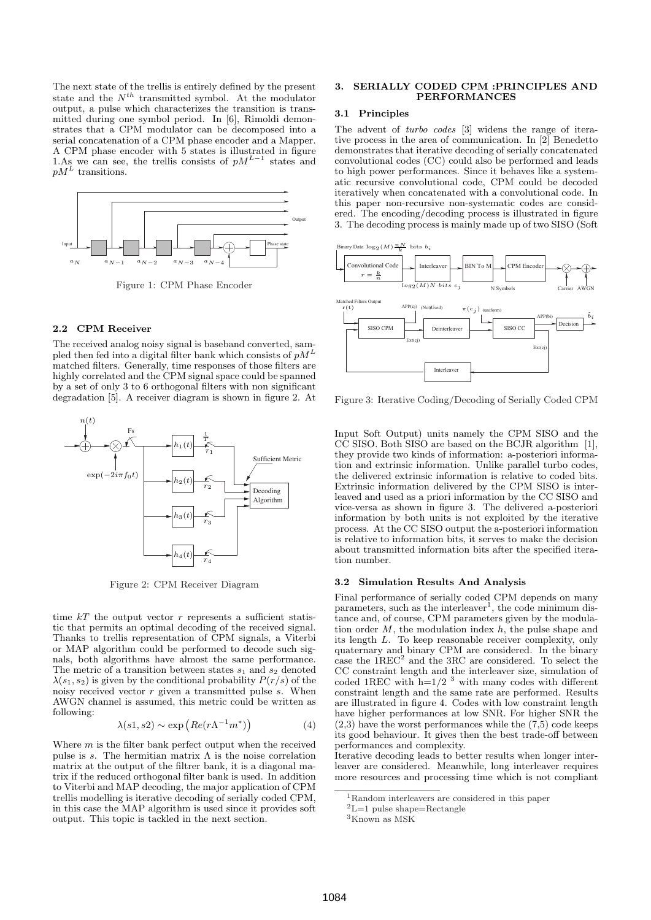The next state of the trellis is entirely defined by the present state and the  $N^{th}$  transmitted symbol. At the modulator output, a pulse which characterizes the transition is transmitted during one symbol period. In [6], Rimoldi demonstrates that a CPM modulator can be decomposed into a serial concatenation of a CPM phase encoder and a Mapper. A CPM phase encoder with 5 states is illustrated in figure 1.As we can see, the trellis consists of  $pM^{L-1}$  states and  $pM<sup>L</sup>$  transitions.



Figure 1: CPM Phase Encoder

## 2.2 CPM Receiver

The received analog noisy signal is baseband converted, sampled then fed into a digital filter bank which consists of  $pM^L$ matched filters. Generally, time responses of those filters are highly correlated and the CPM signal space could be spanned by a set of only 3 to 6 orthogonal filters with non significant degradation [5]. A receiver diagram is shown in figure 2. At



Figure 2: CPM Receiver Diagram

time  $kT$  the output vector r represents a sufficient statistic that permits an optimal decoding of the received signal. Thanks to trellis representation of CPM signals, a Viterbi or MAP algorithm could be performed to decode such signals, both algorithms have almost the same performance. The metric of a transition between states  $s_1$  and  $s_2$  denoted  $\lambda(s_1, s_2)$  is given by the conditional probability  $P(r/s)$  of the noisy received vector  $r$  given a transmitted pulse  $s$ . When AWGN channel is assumed, this metric could be written as following: ¢

$$
\lambda(s1, s2) \sim \exp\left(Re(r\Lambda^{-1}m^*)\right) \tag{4}
$$

Where  $m$  is the filter bank perfect output when the received pulse is s. The hermitian matrix  $\Lambda$  is the noise correlation matrix at the output of the filtrer bank, it is a diagonal matrix if the reduced orthogonal filter bank is used. In addition to Viterbi and MAP decoding, the major application of CPM trellis modelling is iterative decoding of serially coded CPM, in this case the MAP algorithm is used since it provides soft output. This topic is tackled in the next section.

## 3. SERIALLY CODED CPM :PRINCIPLES AND PERFORMANCES

## 3.1 Principles

The advent of turbo codes [3] widens the range of iterative process in the area of communication. In [2] Benedetto demonstrates that iterative decoding of serially concatenated convolutional codes (CC) could also be performed and leads to high power performances. Since it behaves like a systematic recursive convolutional code, CPM could be decoded iteratively when concatenated with a convolutional code. In this paper non-recursive non-systematic codes are considered. The encoding/decoding process is illustrated in figure 3. The decoding process is mainly made up of two SISO (Soft



Figure 3: Iterative Coding/Decoding of Serially Coded CPM

Input Soft Output) units namely the CPM SISO and the CC SISO. Both SISO are based on the BCJR algorithm [1], they provide two kinds of information: a-posteriori information and extrinsic information. Unlike parallel turbo codes, the delivered extrinsic information is relative to coded bits. Extrinsic information delivered by the CPM SISO is interleaved and used as a priori information by the CC SISO and vice-versa as shown in figure 3. The delivered a-posteriori information by both units is not exploited by the iterative process. At the CC SISO output the a-posteriori information is relative to information bits, it serves to make the decision about transmitted information bits after the specified iteration number.

#### 3.2 Simulation Results And Analysis

Final performance of serially coded CPM depends on many parameters, such as the interleaver<sup>1</sup>, the code minimum distance and, of course, CPM parameters given by the modulation order  $M$ , the modulation index  $h$ , the pulse shape and its length L. To keep reasonable receiver complexity, only quaternary and binary CPM are considered. In the binary case the  $1$ REC $2$  and the 3RC are considered. To select the CC constraint length and the interleaver size, simulation of coded 1REC with  $h=1/2$  <sup>3</sup> with many codes with different constraint length and the same rate are performed. Results are illustrated in figure 4. Codes with low constraint length have higher performances at low SNR. For higher SNR the  $(2,3)$  have the worst performances while the  $(7,5)$  code keeps its good behaviour. It gives then the best trade-off between performances and complexity.

Iterative decoding leads to better results when longer interleaver are considered. Meanwhile, long interleaver requires more resources and processing time which is not compliant

<sup>1</sup>Random interleavers are considered in this paper

 $^2\mathrm{L}{=}1$  pulse shape=Rectangle

 ${}^3{\rm K}$ nown as MSK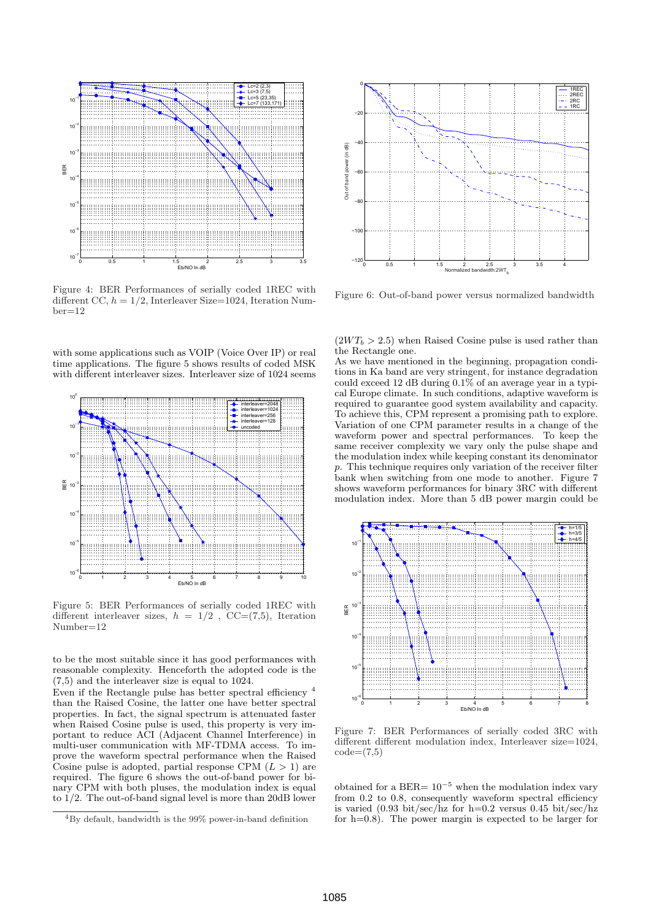

Figure 4: BER Performances of serially coded 1REC with different CC,  $h = 1/2$ , Interleaver Size=1024, Iteration Num $ber=12$ 

with some applications such as VOIP (Voice Over IP) or real time applications. The figure 5 shows results of coded MSK with different interleaver sizes. Interleaver size of 1024 seems



Figure 5: BER Performances of serially coded 1REC with different interleaver sizes,  $h = 1/2$ ,  $CC=(7,5)$ , Iteration Number=12

to be the most suitable since it has good performances with reasonable complexity. Henceforth the adopted code is the (7,5) and the interleaver size is equal to 1024.

Even if the Rectangle pulse has better spectral efficiency <sup>4</sup> than the Raised Cosine, the latter one have better spectral properties. In fact, the signal spectrum is attenuated faster when Raised Cosine pulse is used, this property is very important to reduce ACI (Adjacent Channel Interference) in multi-user communication with MF-TDMA access. To improve the waveform spectral performance when the Raised Cosine pulse is adopted, partial response CPM  $(L > 1)$  are required. The figure 6 shows the out-of-band power for binary CPM with both pluses, the modulation index is equal to 1/2. The out-of-band signal level is more than 20dB lower



Figure 6: Out-of-band power versus normalized bandwidth

 $(2WT_b > 2.5)$  when Raised Cosine pulse is used rather than the Rectangle one.

As we have mentioned in the beginning, propagation conditions in Ka band are very stringent, for instance degradation could exceed 12 dB during 0.1% of an average year in a typical Europe climate. In such conditions, adaptive waveform is required to guarantee good system availability and capacity. To achieve this, CPM represent a promising path to explore. Variation of one CPM parameter results in a change of the waveform power and spectral performances. To keep the same receiver complexity we vary only the pulse shape and the modulation index while keeping constant its denominator p. This technique requires only variation of the receiver filter bank when switching from one mode to another. Figure 7 shows waveform performances for binary 3RC with different modulation index. More than 5 dB power margin could be



Figure 7: BER Performances of serially coded 3RC with different different modulation index, Interleaver size=1024,  $code=(7.5)$ 

obtained for a BER=  $10^{-5}$  when the modulation index vary from 0.2 to 0.8, consequently waveform spectral efficiency is varied  $(0.93 \text{ bit/sec/hz}$  for h=0.2 versus 0.45 bit/sec/hz for h=0.8). The power margin is expected to be larger for

<sup>4</sup>By default, bandwidth is the 99% power-in-band definition